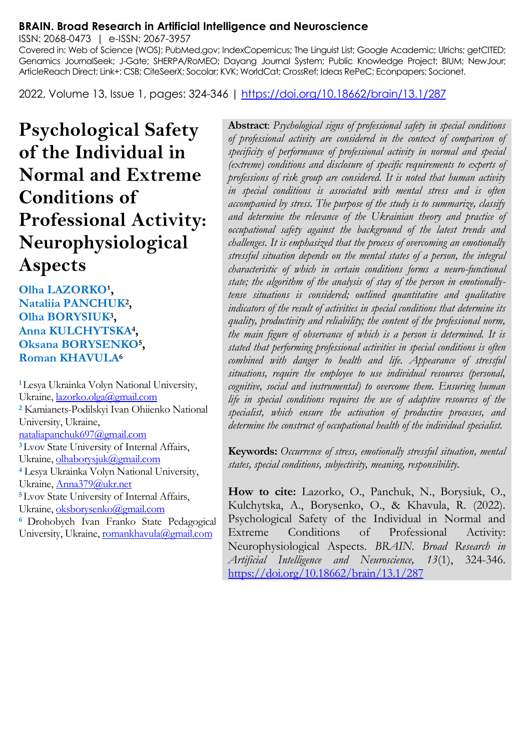#### **BRAIN. Broad Research in Artificial Intelligence and Neuroscience**

ISSN: 2068-0473 | e-ISSN: 2067-3957

Covered in: Web of Science (WOS); PubMed.gov; IndexCopernicus; The Linguist List; Google Academic; Ulrichs; getCITED; Genamics JournalSeek; J-Gate; SHERPA/RoMEO; Dayang Journal System; Public Knowledge Project; BIUM; NewJour; ArticleReach Direct; Link+; CSB; CiteSeerX; Socolar; KVK; WorldCat; CrossRef; Ideas RePeC; Econpapers; Socionet.

2022, Volume 13, Issue 1, pages: 324-346 |<https://doi.org/10.18662/brain/13.1/287>

**Psychological Safety of the Individual in Normal and Extreme Conditions of Professional Activity: Neurophysiological Aspects**

**Olha LAZORKO<sup>1</sup>, Nataliia PANCHUK<sup>2</sup> , Olha BORYSIUK<sup>3</sup> , Anna KULCHYTSKA<sup>4</sup> , Oksana BORYSENKO<sup>5</sup> , Roman KHAVULA<sup>6</sup>**

**<sup>1</sup>**Lesya Ukrainka Volyn National University, Ukraine[, lazorko.olga@gmail.com](mailto:lazorko.olga@gmail.com) **<sup>2</sup>** Kamianets-Podilskyi Ivan Ohiienko National University, Ukraine, [nataliapanchuk697@gmail.com](mailto:nataliapanchuk697@gmail.com) **<sup>3</sup>**Lvov State University of Internal Affairs, Ukraine, olhaborysjuk@gmail.com **<sup>4</sup>** Lesya Ukrainka Volyn National University, Ukraine[, Anna379@ukr.net](mailto:Anna379@ukr.net) **<sup>5</sup>**Lvov State University of Internal Affairs, Ukraine[, oksborysenko@gmail.com](mailto:oksborysenko@gmail.com) <sup>6</sup> Drohobych Ivan Franko State Pedagogical University, Ukraine[, romankhavula@gmail.com](mailto:romankhavula@gmail.com)

**Abstract**: *Psychological signs of professional safety in special conditions of professional activity are considered in the context of comparison of specificity of performance of professional activity in normal and special (extreme) conditions and disclosure of specific requirements to experts of professions of risk group are considered. It is noted that human activity in special conditions is associated with mental stress and is often accompanied by stress. The purpose of the study is to summarize, classify and determine the relevance of the Ukrainian theory and practice of occupational safety against the background of the latest trends and challenges. It is emphasized that the process of overcoming an emotionally stressful situation depends on the mental states of a person, the integral characteristic of which in certain conditions forms a neuro-functional state; the algorithm of the analysis of stay of the person in emotionallytense situations is considered; outlined quantitative and qualitative indicators of the result of activities in special conditions that determine its quality, productivity and reliability; the content of the professional norm, the main figure of observance of which is a person is determined. It is stated that performing professional activities in special conditions is often combined with danger to health and life. Appearance of stressful situations, require the employee to use individual resources (personal, cognitive, social and instrumental) to overcome them. Ensuring human life in special conditions requires the use of adaptive resources of the specialist, which ensure the activation of productive processes, and determine the construct of occupational health of the individual specialist.*

**Keywords:** *Occurrence of stress, emotionally stressful situation, mental states, special conditions, subjectivity, meaning, responsibility.*

**How to cite:** Lazorko, O., Panchuk, N., Borysiuk, O., Kulchytska, A., Borysenko, O., & Khavula, R. (2022). Psychological Safety of the Individual in Normal and Extreme Conditions of Professional Activity: Neurophysiological Aspects. *BRAIN. Broad Research in Artificial Intelligence and Neuroscience, 13*(1), 324-346. <https://doi.org/10.18662/brain/13.1/287>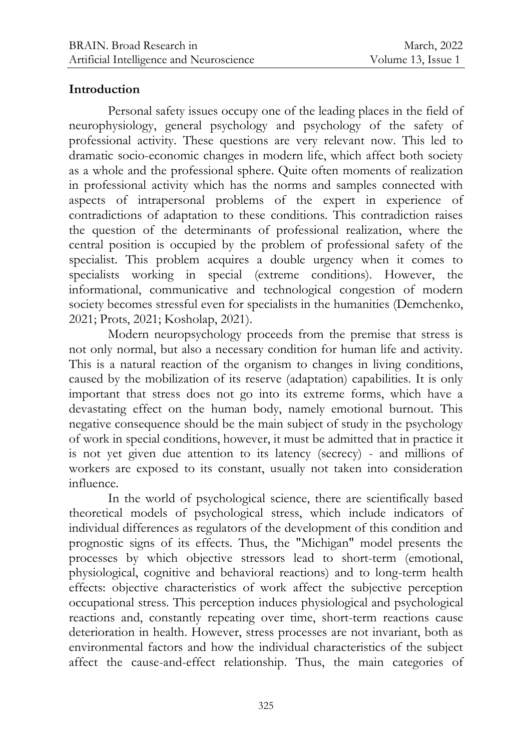#### **Introduction**

Personal safety issues occupy one of the leading places in the field of neurophysiology, general psychology and psychology of the safety of professional activity. These questions are very relevant now. This led to dramatic socio-economic changes in modern life, which affect both society as a whole and the professional sphere. Quite often moments of realization in professional activity which has the norms and samples connected with aspects of intrapersonal problems of the expert in experience of contradictions of adaptation to these conditions. This contradiction raises the question of the determinants of professional realization, where the central position is occupied by the problem of professional safety of the specialist. This problem acquires a double urgency when it comes to specialists working in special (extreme conditions). However, the informational, communicative and technological congestion of modern society becomes stressful even for specialists in the humanities (Demchenko, 2021; Prots, 2021; Kosholap, 2021).

Modern neuropsychology proceeds from the premise that stress is not only normal, but also a necessary condition for human life and activity. This is a natural reaction of the organism to changes in living conditions, caused by the mobilization of its reserve (adaptation) capabilities. It is only important that stress does not go into its extreme forms, which have a devastating effect on the human body, namely emotional burnout. This negative consequence should be the main subject of study in the psychology of work in special conditions, however, it must be admitted that in practice it is not yet given due attention to its latency (secrecy) - and millions of workers are exposed to its constant, usually not taken into consideration influence.

In the world of psychological science, there are scientifically based theoretical models of psychological stress, which include indicators of individual differences as regulators of the development of this condition and prognostic signs of its effects. Thus, the "Michigan" model presents the processes by which objective stressors lead to short-term (emotional, physiological, cognitive and behavioral reactions) and to long-term health effects: objective characteristics of work affect the subjective perception occupational stress. This perception induces physiological and psychological reactions and, constantly repeating over time, short-term reactions cause deterioration in health. However, stress processes are not invariant, both as environmental factors and how the individual characteristics of the subject affect the cause-and-effect relationship. Thus, the main categories of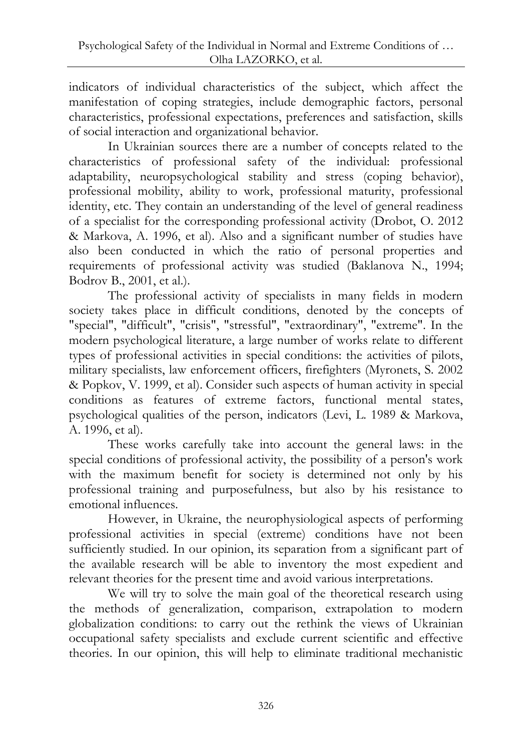indicators of individual characteristics of the subject, which affect the manifestation of coping strategies, include demographic factors, personal characteristics, professional expectations, preferences and satisfaction, skills of social interaction and organizational behavior.

In Ukrainian sources there are a number of concepts related to the characteristics of professional safety of the individual: professional adaptability, neuropsychological stability and stress (coping behavior), professional mobility, ability to work, professional maturity, professional identity, etc. They contain an understanding of the level of general readiness of a specialist for the corresponding professional activity (Drobot, O. 2012 & Markova, A. 1996, et al). Also and a significant number of studies have also been conducted in which the ratio of personal properties and requirements of professional activity was studied (Baklanova N., 1994; Bodrov B., 2001, et al.).

The professional activity of specialists in many fields in modern society takes place in difficult conditions, denoted by the concepts of "special", "difficult", "crisis", "stressful", "extraordinary", "extreme". In the modern psychological literature, a large number of works relate to different types of professional activities in special conditions: the activities of pilots, military specialists, law enforcement officers, firefighters (Myronets, S. 2002 & Popkov, V. 1999, et al). Consider such aspects of human activity in special conditions as features of extreme factors, functional mental states, psychological qualities of the person, indicators (Levi, L. 1989 & Markova, A. 1996, et al).

These works carefully take into account the general laws: in the special conditions of professional activity, the possibility of a person's work with the maximum benefit for society is determined not only by his professional training and purposefulness, but also by his resistance to emotional influences.

However, in Ukraine, the neurophysiological aspects of performing professional activities in special (extreme) conditions have not been sufficiently studied. In our opinion, its separation from a significant part of the available research will be able to inventory the most expedient and relevant theories for the present time and avoid various interpretations.

We will try to solve the main goal of the theoretical research using the methods of generalization, comparison, extrapolation to modern globalization conditions: to carry out the rethink the views of Ukrainian occupational safety specialists and exclude current scientific and effective theories. In our opinion, this will help to eliminate traditional mechanistic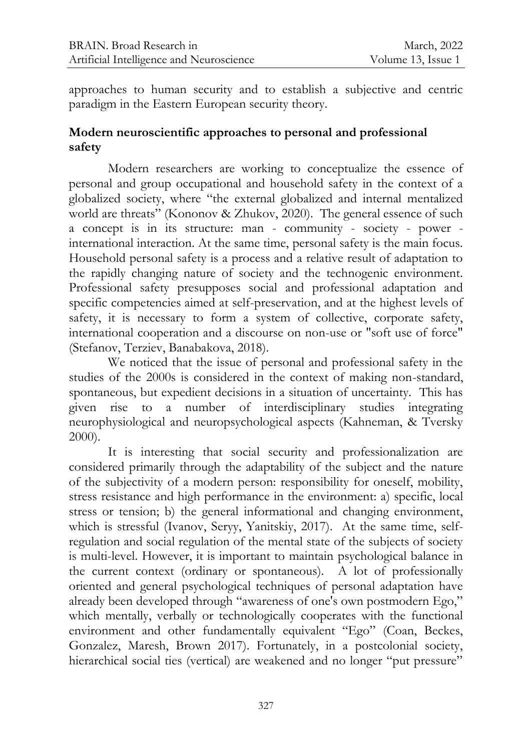approaches to human security and to establish a subjective and centric paradigm in the Eastern European security theory.

#### **Modern neuroscientific approaches to personal and professional safety**

Modern researchers are working to conceptualize the essence of personal and group occupational and household safety in the context of a globalized society, where "the external globalized and internal mentalized world are threats" (Kononov & Zhukov, 2020). The general essence of such a concept is in its structure: man - community - society - power international interaction. At the same time, personal safety is the main focus. Household personal safety is a process and a relative result of adaptation to the rapidly changing nature of society and the technogenic environment. Professional safety presupposes social and professional adaptation and specific competencies aimed at self-preservation, and at the highest levels of safety, it is necessary to form a system of collective, corporate safety, international cooperation and a discourse on non-use or "soft use of force" (Stefanov, Terziev, Banabakova, 2018).

We noticed that the issue of personal and professional safety in the studies of the 2000s is considered in the context of making non-standard, spontaneous, but expedient decisions in a situation of uncertainty. This has given rise to a number of interdisciplinary studies integrating neurophysiological and neuropsychological aspects (Kahneman, & Tversky 2000).

It is interesting that social security and professionalization are considered primarily through the adaptability of the subject and the nature of the subjectivity of a modern person: responsibility for oneself, mobility, stress resistance and high performance in the environment: a) specific, local stress or tension; b) the general informational and changing environment, which is stressful (Ivanov, Seryy, Yanitskiy, 2017). At the same time, selfregulation and social regulation of the mental state of the subjects of society is multi-level. However, it is important to maintain psychological balance in the current context (ordinary or spontaneous). A lot of professionally oriented and general psychological techniques of personal adaptation have already been developed through "awareness of one's own postmodern Ego," which mentally, verbally or technologically cooperates with the functional environment and other fundamentally equivalent "Ego" (Coan, Beckes, Gonzalez, Maresh, Brown 2017). Fortunately, in a postcolonial society, hierarchical social ties (vertical) are weakened and no longer "put pressure"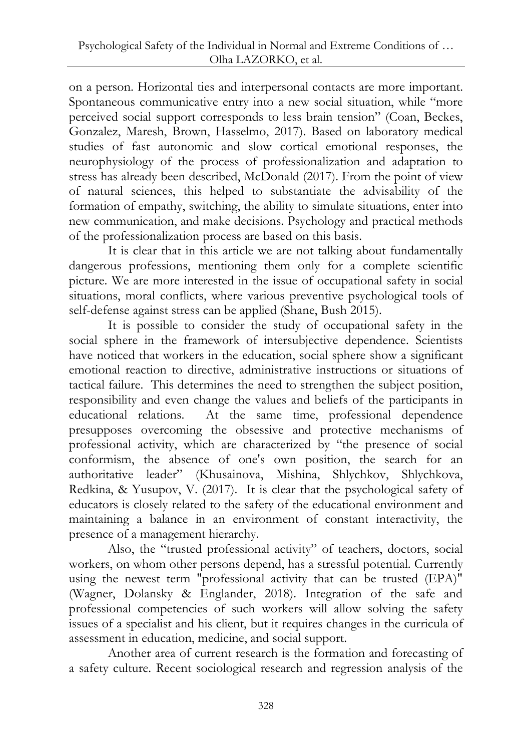on a person. Horizontal ties and interpersonal contacts are more important. Spontaneous communicative entry into a new social situation, while "more perceived social support corresponds to less brain tension" (Coan, Beckes, Gonzalez, Maresh, Brown, Hasselmo, 2017). Based on laboratory medical studies of fast autonomic and slow cortical emotional responses, the neurophysiology of the process of professionalization and adaptation to stress has already been described, McDonald (2017). From the point of view of natural sciences, this helped to substantiate the advisability of the formation of empathy, switching, the ability to simulate situations, enter into new communication, and make decisions. Psychology and practical methods of the professionalization process are based on this basis.

It is clear that in this article we are not talking about fundamentally dangerous professions, mentioning them only for a complete scientific picture. We are more interested in the issue of occupational safety in social situations, moral conflicts, where various preventive psychological tools of self-defense against stress can be applied (Shane, Bush 2015).

It is possible to consider the study of occupational safety in the social sphere in the framework of intersubjective dependence. Scientists have noticed that workers in the education, social sphere show a significant emotional reaction to directive, administrative instructions or situations of tactical failure. This determines the need to strengthen the subject position, responsibility and even change the values and beliefs of the participants in educational relations. At the same time, professional dependence presupposes overcoming the obsessive and protective mechanisms of professional activity, which are characterized by "the presence of social conformism, the absence of one's own position, the search for an authoritative leader" (Khusainova, Mishina, Shlychkov, Shlychkova, Redkina, & Yusupov, V. (2017). It is clear that the psychological safety of educators is closely related to the safety of the educational environment and maintaining a balance in an environment of constant interactivity, the presence of a management hierarchy.

Also, the "trusted professional activity" of teachers, doctors, social workers, on whom other persons depend, has a stressful potential. Currently using the newest term "professional activity that can be trusted (EPA)" (Wagner, Dolansky & Englander, 2018). Integration of the safe and professional competencies of such workers will allow solving the safety issues of a specialist and his client, but it requires changes in the curricula of assessment in education, medicine, and social support.

Another area of current research is the formation and forecasting of a safety culture. Recent sociological research and regression analysis of the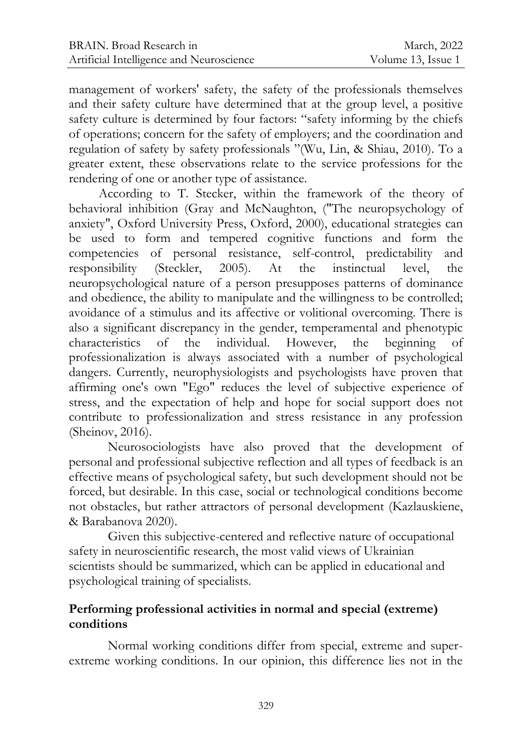management of workers' safety, the safety of the professionals themselves and their safety culture have determined that at the group level, a positive safety culture is determined by four factors: "safety informing by the chiefs of operations; concern for the safety of employers; and the coordination and regulation of safety by safety professionals "(Wu, Lin, & Shiau, 2010). To a greater extent, these observations relate to the service professions for the rendering of one or another type of assistance.

According to T. Stecker, within the framework of the theory of behavioral inhibition (Gray and McNaughton, ("The neuropsychology of anxiety", Oxford University Press, Oxford, 2000), educational strategies can be used to form and tempered cognitive functions and form the competencies of personal resistance, self-control, predictability and responsibility (Steckler, 2005). At the instinctual level, the neuropsychological nature of a person presupposes patterns of dominance and obedience, the ability to manipulate and the willingness to be controlled; avoidance of a stimulus and its affective or volitional overcoming. There is also a significant discrepancy in the gender, temperamental and phenotypic characteristics of the individual. However, the beginning professionalization is always associated with a number of psychological dangers. Currently, neurophysiologists and psychologists have proven that affirming one's own "Ego" reduces the level of subjective experience of stress, and the expectation of help and hope for social support does not contribute to professionalization and stress resistance in any profession (Sheinov, 2016).

Neurosociologists have also proved that the development of personal and professional subjective reflection and all types of feedback is an effective means of psychological safety, but such development should not be forced, but desirable. In this case, social or technological conditions become not obstacles, but rather attractors of personal development (Kazlauskiene, & Barabanova 2020).

Given this subjective-centered and reflective nature of occupational safety in neuroscientific research, the most valid views of Ukrainian scientists should be summarized, which can be applied in educational and psychological training of specialists.

## **Performing professional activities in normal and special (extreme) conditions**

Normal working conditions differ from special, extreme and superextreme working conditions. In our opinion, this difference lies not in the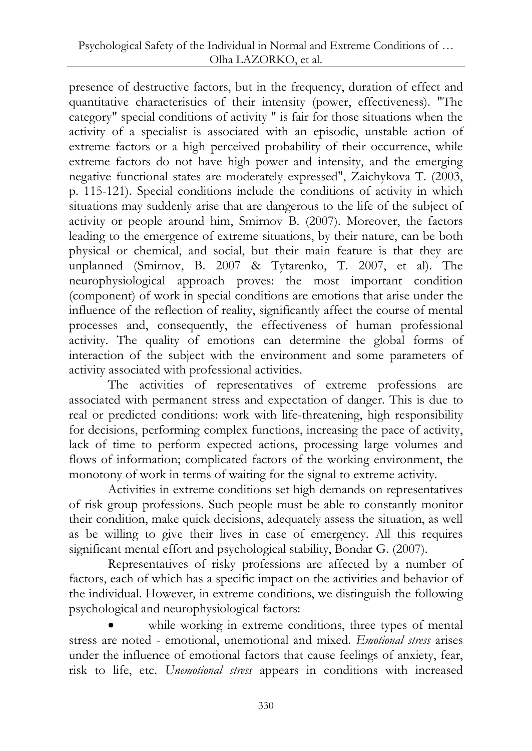presence of destructive factors, but in the frequency, duration of effect and quantitative characteristics of their intensity (power, effectiveness). "The category" special conditions of activity " is fair for those situations when the activity of a specialist is associated with an episodic, unstable action of extreme factors or a high perceived probability of their occurrence, while extreme factors do not have high power and intensity, and the emerging negative functional states are moderately expressed", Zaichykova T. (2003, p. 115-121). Special conditions include the conditions of activity in which situations may suddenly arise that are dangerous to the life of the subject of activity or people around him, Smirnov B. (2007). Moreover, the factors leading to the emergence of extreme situations, by their nature, can be both physical or chemical, and social, but their main feature is that they are unplanned (Smirnov, B. 2007 & Tytarenko, T. 2007, et al). The neurophysiological approach proves: the most important condition (component) of work in special conditions are emotions that arise under the influence of the reflection of reality, significantly affect the course of mental processes and, consequently, the effectiveness of human professional activity. The quality of emotions can determine the global forms of interaction of the subject with the environment and some parameters of activity associated with professional activities.

The activities of representatives of extreme professions are associated with permanent stress and expectation of danger. This is due to real or predicted conditions: work with life-threatening, high responsibility for decisions, performing complex functions, increasing the pace of activity, lack of time to perform expected actions, processing large volumes and flows of information; complicated factors of the working environment, the monotony of work in terms of waiting for the signal to extreme activity.

Activities in extreme conditions set high demands on representatives of risk group professions. Such people must be able to constantly monitor their condition, make quick decisions, adequately assess the situation, as well as be willing to give their lives in case of emergency. All this requires significant mental effort and psychological stability, Bondar G. (2007).

Representatives of risky professions are affected by a number of factors, each of which has a specific impact on the activities and behavior of the individual. However, in extreme conditions, we distinguish the following psychological and neurophysiological factors:

 while working in extreme conditions, three types of mental stress are noted - emotional, unemotional and mixed. *Emotional stress* arises under the influence of emotional factors that cause feelings of anxiety, fear, risk to life, etc. *Unemotional stress* appears in conditions with increased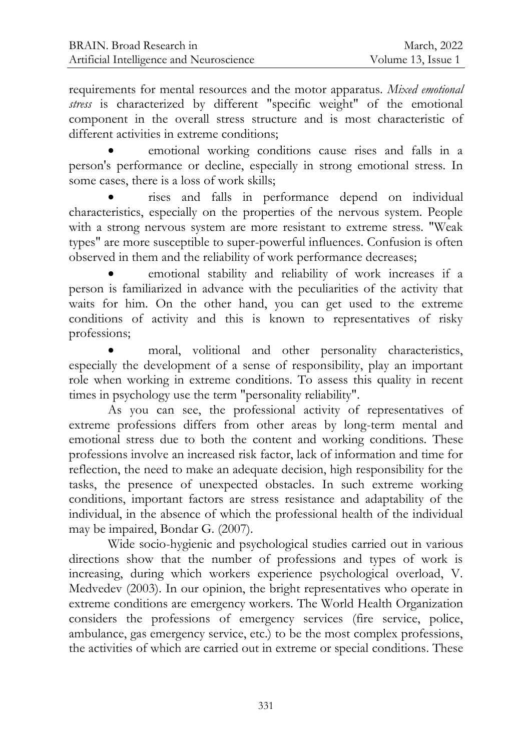requirements for mental resources and the motor apparatus. *Mixed emotional stress* is characterized by different "specific weight" of the emotional component in the overall stress structure and is most characteristic of different activities in extreme conditions:

 emotional working conditions cause rises and falls in a person's performance or decline, especially in strong emotional stress. In some cases, there is a loss of work skills;

 rises and falls in performance depend on individual characteristics, especially on the properties of the nervous system. People with a strong nervous system are more resistant to extreme stress. "Weak types" are more susceptible to super-powerful influences. Confusion is often observed in them and the reliability of work performance decreases;

 emotional stability and reliability of work increases if a person is familiarized in advance with the peculiarities of the activity that waits for him. On the other hand, you can get used to the extreme conditions of activity and this is known to representatives of risky professions;

 moral, volitional and other personality characteristics, especially the development of a sense of responsibility, play an important role when working in extreme conditions. To assess this quality in recent times in psychology use the term "personality reliability".

As you can see, the professional activity of representatives of extreme professions differs from other areas by long-term mental and emotional stress due to both the content and working conditions. These professions involve an increased risk factor, lack of information and time for reflection, the need to make an adequate decision, high responsibility for the tasks, the presence of unexpected obstacles. In such extreme working conditions, important factors are stress resistance and adaptability of the individual, in the absence of which the professional health of the individual may be impaired, Bondar G. (2007).

Wide socio-hygienic and psychological studies carried out in various directions show that the number of professions and types of work is increasing, during which workers experience psychological overload, V. Medvedev (2003). In our opinion, the bright representatives who operate in extreme conditions are emergency workers. The World Health Organization considers the professions of emergency services (fire service, police, ambulance, gas emergency service, etc.) to be the most complex professions, the activities of which are carried out in extreme or special conditions. These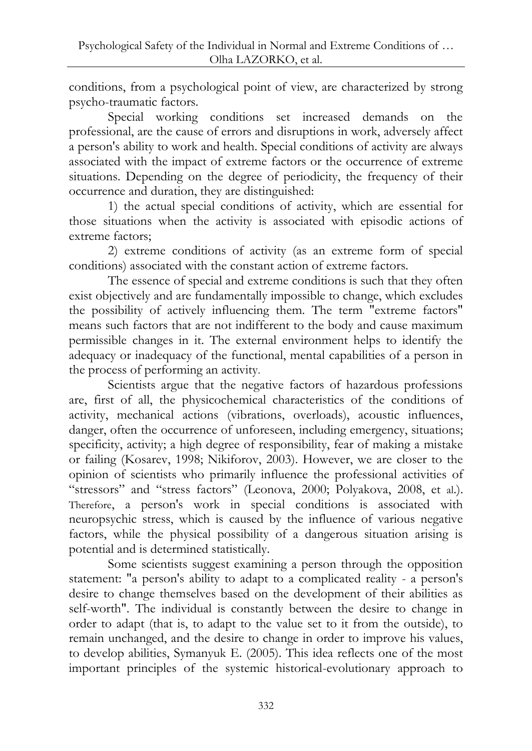conditions, from a psychological point of view, are characterized by strong psycho-traumatic factors.

Special working conditions set increased demands on the professional, are the cause of errors and disruptions in work, adversely affect a person's ability to work and health. Special conditions of activity are always associated with the impact of extreme factors or the occurrence of extreme situations. Depending on the degree of periodicity, the frequency of their occurrence and duration, they are distinguished:

1) the actual special conditions of activity, which are essential for those situations when the activity is associated with episodic actions of extreme factors;

2) extreme conditions of activity (as an extreme form of special conditions) associated with the constant action of extreme factors.

The essence of special and extreme conditions is such that they often exist objectively and are fundamentally impossible to change, which excludes the possibility of actively influencing them. The term "extreme factors" means such factors that are not indifferent to the body and cause maximum permissible changes in it. The external environment helps to identify the adequacy or inadequacy of the functional, mental capabilities of a person in the process of performing an activity.

Scientists argue that the negative factors of hazardous professions are, first of all, the physicochemical characteristics of the conditions of activity, mechanical actions (vibrations, overloads), acoustic influences, danger, often the occurrence of unforeseen, including emergency, situations; specificity, activity; a high degree of responsibility, fear of making a mistake or failing (Kosarev, 1998; Nikiforov, 2003). However, we are closer to the opinion of scientists who primarily influence the professional activities of "stressors" and "stress factors" (Leonova, 2000; Polyakova, 2008, et al.). Therefore, a person's work in special conditions is associated with neuropsychic stress, which is caused by the influence of various negative factors, while the physical possibility of a dangerous situation arising is potential and is determined statistically.

Some scientists suggest examining a person through the opposition statement: "a person's ability to adapt to a complicated reality - a person's desire to change themselves based on the development of their abilities as self-worth". The individual is constantly between the desire to change in order to adapt (that is, to adapt to the value set to it from the outside), to remain unchanged, and the desire to change in order to improve his values, to develop abilities, Symanyuk E. (2005). This idea reflects one of the most important principles of the systemic historical-evolutionary approach to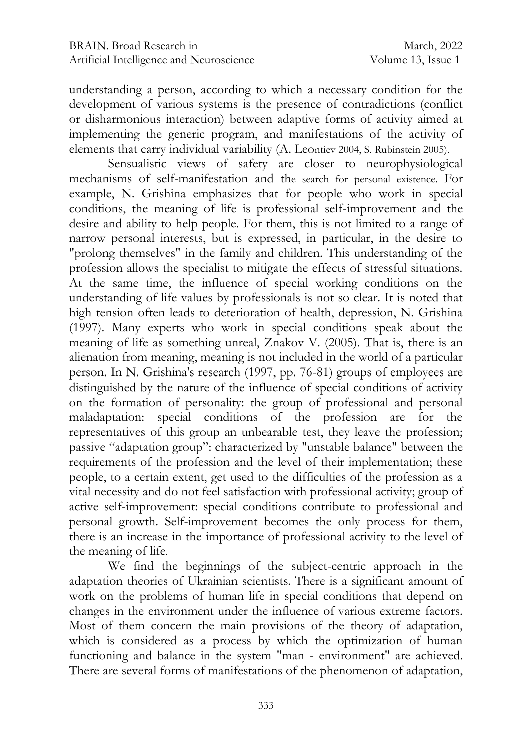understanding a person, according to which a necessary condition for the development of various systems is the presence of contradictions (conflict or disharmonious interaction) between adaptive forms of activity aimed at implementing the generic program, and manifestations of the activity of elements that carry individual variability (A. Leontiev 2004, S. Rubinstein 2005).

Sensualistic views of safety are closer to neurophysiological mechanisms of self-manifestation and the search for personal existence. For example, N. Grishina emphasizes that for people who work in special conditions, the meaning of life is professional self-improvement and the desire and ability to help people. For them, this is not limited to a range of narrow personal interests, but is expressed, in particular, in the desire to "prolong themselves" in the family and children. This understanding of the profession allows the specialist to mitigate the effects of stressful situations. At the same time, the influence of special working conditions on the understanding of life values by professionals is not so clear. It is noted that high tension often leads to deterioration of health, depression, N. Grishina (1997). Many experts who work in special conditions speak about the meaning of life as something unreal, Znakov V. (2005). That is, there is an alienation from meaning, meaning is not included in the world of a particular person. In N. Grishina's research (1997, pp. 76-81) groups of employees are distinguished by the nature of the influence of special conditions of activity on the formation of personality: the group of professional and personal maladaptation: special conditions of the profession are for the representatives of this group an unbearable test, they leave the profession; passive "adaptation group": characterized by "unstable balance" between the requirements of the profession and the level of their implementation; these people, to a certain extent, get used to the difficulties of the profession as a vital necessity and do not feel satisfaction with professional activity; group of active self-improvement: special conditions contribute to professional and personal growth. Self-improvement becomes the only process for them, there is an increase in the importance of professional activity to the level of the meaning of life.

We find the beginnings of the subject-centric approach in the adaptation theories of Ukrainian scientists. There is a significant amount of work on the problems of human life in special conditions that depend on changes in the environment under the influence of various extreme factors. Most of them concern the main provisions of the theory of adaptation, which is considered as a process by which the optimization of human functioning and balance in the system "man - environment" are achieved. There are several forms of manifestations of the phenomenon of adaptation,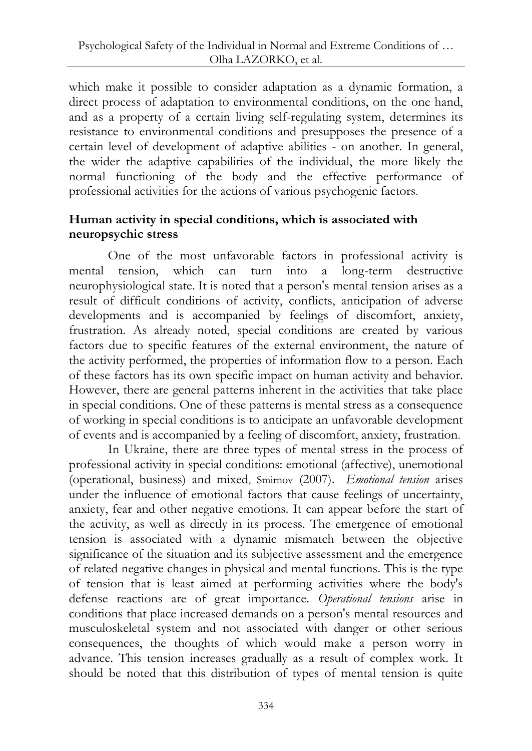which make it possible to consider adaptation as a dynamic formation, a direct process of adaptation to environmental conditions, on the one hand, and as a property of a certain living self-regulating system, determines its resistance to environmental conditions and presupposes the presence of a certain level of development of adaptive abilities - on another. In general, the wider the adaptive capabilities of the individual, the more likely the normal functioning of the body and the effective performance of professional activities for the actions of various psychogenic factors.

## **Human activity in special conditions, which is associated with neuropsychic stress**

One of the most unfavorable factors in professional activity is mental tension, which can turn into a long-term destructive neurophysiological state. It is noted that a person's mental tension arises as a result of difficult conditions of activity, conflicts, anticipation of adverse developments and is accompanied by feelings of discomfort, anxiety, frustration. As already noted, special conditions are created by various factors due to specific features of the external environment, the nature of the activity performed, the properties of information flow to a person. Each of these factors has its own specific impact on human activity and behavior. However, there are general patterns inherent in the activities that take place in special conditions. One of these patterns is mental stress as a consequence of working in special conditions is to anticipate an unfavorable development of events and is accompanied by a feeling of discomfort, anxiety, frustration.

In Ukraine, there are three types of mental stress in the process of professional activity in special conditions: emotional (affective), unemotional (operational, business) and mixed, Smirnov (2007). *Emotional tension* arises under the influence of emotional factors that cause feelings of uncertainty, anxiety, fear and other negative emotions. It can appear before the start of the activity, as well as directly in its process. The emergence of emotional tension is associated with a dynamic mismatch between the objective significance of the situation and its subjective assessment and the emergence of related negative changes in physical and mental functions. This is the type of tension that is least aimed at performing activities where the body's defense reactions are of great importance. *Operational tensions* arise in conditions that place increased demands on a person's mental resources and musculoskeletal system and not associated with danger or other serious consequences, the thoughts of which would make a person worry in advance. This tension increases gradually as a result of complex work. It should be noted that this distribution of types of mental tension is quite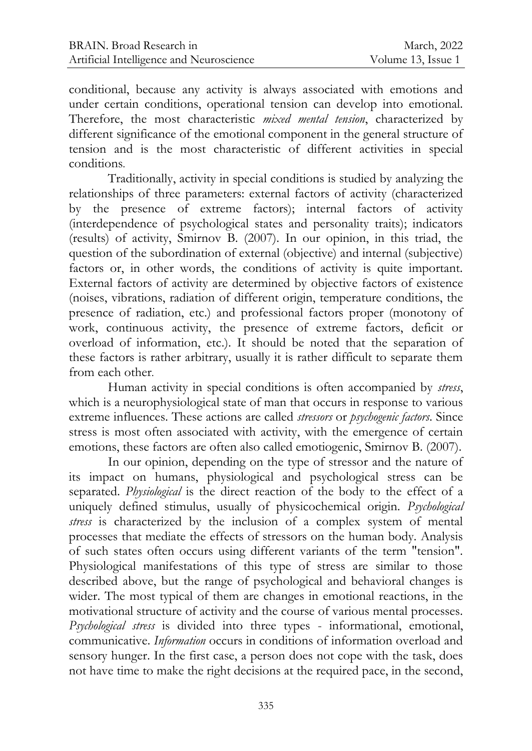conditional, because any activity is always associated with emotions and under certain conditions, operational tension can develop into emotional. Therefore, the most characteristic *mixed mental tension*, characterized by different significance of the emotional component in the general structure of tension and is the most characteristic of different activities in special conditions.

Traditionally, activity in special conditions is studied by analyzing the relationships of three parameters: external factors of activity (characterized by the presence of extreme factors); internal factors of activity (interdependence of psychological states and personality traits); indicators (results) of activity, Smirnov B. (2007). In our opinion, in this triad, the question of the subordination of external (objective) and internal (subjective) factors or, in other words, the conditions of activity is quite important. External factors of activity are determined by objective factors of existence (noises, vibrations, radiation of different origin, temperature conditions, the presence of radiation, etc.) and professional factors proper (monotony of work, continuous activity, the presence of extreme factors, deficit or overload of information, etc.). It should be noted that the separation of these factors is rather arbitrary, usually it is rather difficult to separate them from each other.

Human activity in special conditions is often accompanied by *stress*, which is a neurophysiological state of man that occurs in response to various extreme influences. These actions are called *stressors* or *psychogenic factors*. Since stress is most often associated with activity, with the emergence of certain emotions, these factors are often also called emotiogenic, Smirnov B. (2007).

In our opinion, depending on the type of stressor and the nature of its impact on humans, physiological and psychological stress can be separated. *Physiological* is the direct reaction of the body to the effect of a uniquely defined stimulus, usually of physicochemical origin. *Psychological stress* is characterized by the inclusion of a complex system of mental processes that mediate the effects of stressors on the human body. Analysis of such states often occurs using different variants of the term "tension". Physiological manifestations of this type of stress are similar to those described above, but the range of psychological and behavioral changes is wider. The most typical of them are changes in emotional reactions, in the motivational structure of activity and the course of various mental processes. *Psychological stress* is divided into three types - informational, emotional, communicative. *Information* occurs in conditions of information overload and sensory hunger. In the first case, a person does not cope with the task, does not have time to make the right decisions at the required pace, in the second,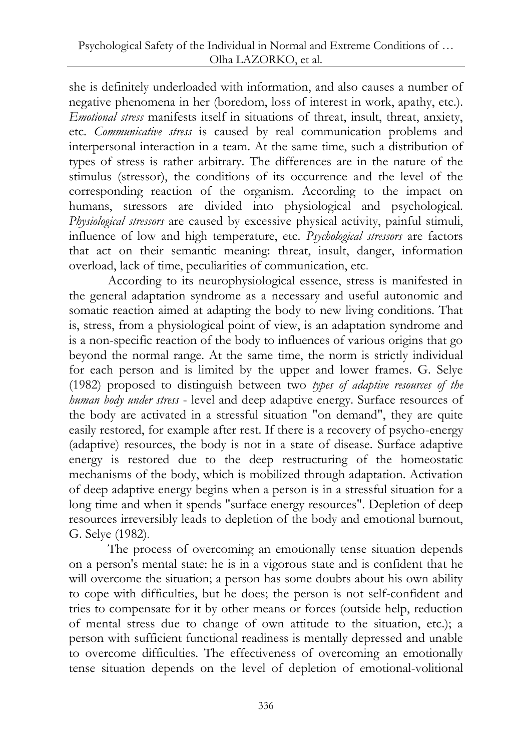she is definitely underloaded with information, and also causes a number of negative phenomena in her (boredom, loss of interest in work, apathy, etc.). *Emotional stress* manifests itself in situations of threat, insult, threat, anxiety, etc*. Communicative stress* is caused by real communication problems and interpersonal interaction in a team. At the same time, such a distribution of types of stress is rather arbitrary. The differences are in the nature of the stimulus (stressor), the conditions of its occurrence and the level of the corresponding reaction of the organism. According to the impact on humans, stressors are divided into physiological and psychological. *Physiological stressors* are caused by excessive physical activity, painful stimuli, influence of low and high temperature, etc. *Psychological stressors* are factors that act on their semantic meaning: threat, insult, danger, information overload, lack of time, peculiarities of communication, etc.

According to its neurophysiological essence, stress is manifested in the general adaptation syndrome as a necessary and useful autonomic and somatic reaction aimed at adapting the body to new living conditions. That is, stress, from a physiological point of view, is an adaptation syndrome and is a non-specific reaction of the body to influences of various origins that go beyond the normal range. At the same time, the norm is strictly individual for each person and is limited by the upper and lower frames. G. Selye (1982) proposed to distinguish between two *types of adaptive resources of the human body under stress* - level and deep adaptive energy. Surface resources of the body are activated in a stressful situation "on demand", they are quite easily restored, for example after rest. If there is a recovery of psycho-energy (adaptive) resources, the body is not in a state of disease. Surface adaptive energy is restored due to the deep restructuring of the homeostatic mechanisms of the body, which is mobilized through adaptation. Activation of deep adaptive energy begins when a person is in a stressful situation for a long time and when it spends "surface energy resources". Depletion of deep resources irreversibly leads to depletion of the body and emotional burnout, G. Selye (1982).

The process of overcoming an emotionally tense situation depends on a person's mental state: he is in a vigorous state and is confident that he will overcome the situation; a person has some doubts about his own ability to cope with difficulties, but he does; the person is not self-confident and tries to compensate for it by other means or forces (outside help, reduction of mental stress due to change of own attitude to the situation, etc.); a person with sufficient functional readiness is mentally depressed and unable to overcome difficulties. The effectiveness of overcoming an emotionally tense situation depends on the level of depletion of emotional-volitional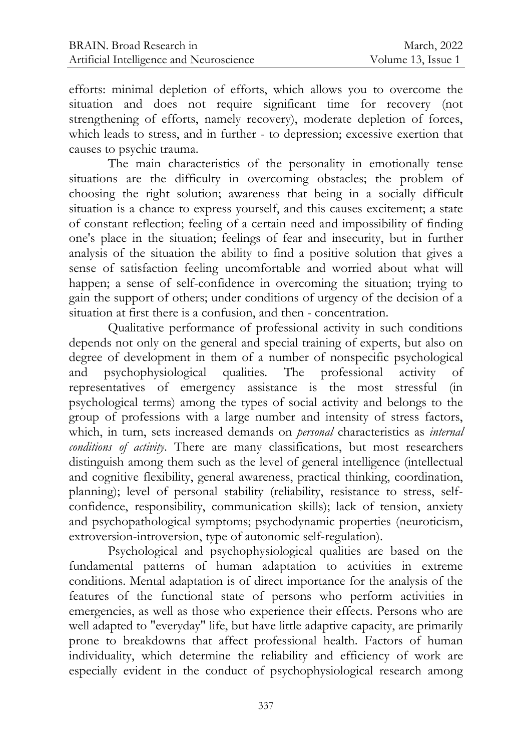efforts: minimal depletion of efforts, which allows you to overcome the situation and does not require significant time for recovery (not strengthening of efforts, namely recovery), moderate depletion of forces, which leads to stress, and in further - to depression; excessive exertion that causes to psychic trauma.

The main characteristics of the personality in emotionally tense situations are the difficulty in overcoming obstacles; the problem of choosing the right solution; awareness that being in a socially difficult situation is a chance to express yourself, and this causes excitement; a state of constant reflection; feeling of a certain need and impossibility of finding one's place in the situation; feelings of fear and insecurity, but in further analysis of the situation the ability to find a positive solution that gives a sense of satisfaction feeling uncomfortable and worried about what will happen; a sense of self-confidence in overcoming the situation; trying to gain the support of others; under conditions of urgency of the decision of a situation at first there is a confusion, and then - concentration.

Qualitative performance of professional activity in such conditions depends not only on the general and special training of experts, but also on degree of development in them of a number of nonspecific psychological and psychophysiological qualities. The professional activity of representatives of emergency assistance is the most stressful (in psychological terms) among the types of social activity and belongs to the group of professions with a large number and intensity of stress factors, which, in turn, sets increased demands on *personal* characteristics as *internal conditions of activity*. There are many classifications, but most researchers distinguish among them such as the level of general intelligence (intellectual and cognitive flexibility, general awareness, practical thinking, coordination, planning); level of personal stability (reliability, resistance to stress, selfconfidence, responsibility, communication skills); lack of tension, anxiety and psychopathological symptoms; psychodynamic properties (neuroticism, extroversion-introversion, type of autonomic self-regulation).

Psychological and psychophysiological qualities are based on the fundamental patterns of human adaptation to activities in extreme conditions. Mental adaptation is of direct importance for the analysis of the features of the functional state of persons who perform activities in emergencies, as well as those who experience their effects. Persons who are well adapted to "everyday" life, but have little adaptive capacity, are primarily prone to breakdowns that affect professional health. Factors of human individuality, which determine the reliability and efficiency of work are especially evident in the conduct of psychophysiological research among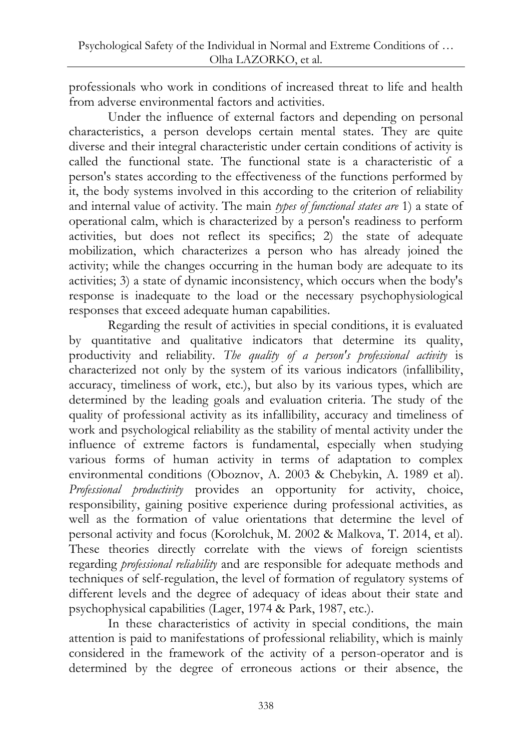professionals who work in conditions of increased threat to life and health from adverse environmental factors and activities.

Under the influence of external factors and depending on personal characteristics, a person develops certain mental states. They are quite diverse and their integral characteristic under certain conditions of activity is called the functional state. The functional state is a characteristic of a person's states according to the effectiveness of the functions performed by it, the body systems involved in this according to the criterion of reliability and internal value of activity. The main *types of functional states are* 1) a state of operational calm, which is characterized by a person's readiness to perform activities, but does not reflect its specifics; 2) the state of adequate mobilization, which characterizes a person who has already joined the activity; while the changes occurring in the human body are adequate to its activities; 3) a state of dynamic inconsistency, which occurs when the body's response is inadequate to the load or the necessary psychophysiological responses that exceed adequate human capabilities.

Regarding the result of activities in special conditions, it is evaluated by quantitative and qualitative indicators that determine its quality, productivity and reliability. *The quality of a person's professional activity* is characterized not only by the system of its various indicators (infallibility, accuracy, timeliness of work, etc.), but also by its various types, which are determined by the leading goals and evaluation criteria. The study of the quality of professional activity as its infallibility, accuracy and timeliness of work and psychological reliability as the stability of mental activity under the influence of extreme factors is fundamental, especially when studying various forms of human activity in terms of adaptation to complex environmental conditions (Oboznov, A. 2003 & Chebykin, A. 1989 et al). *Professional productivity* provides an opportunity for activity, choice, responsibility, gaining positive experience during professional activities, as well as the formation of value orientations that determine the level of personal activity and focus (Korolchuk, M. 2002 & Malkova, T. 2014, et al). These theories directly correlate with the views of foreign scientists regarding *professional reliability* and are responsible for adequate methods and techniques of self-regulation, the level of formation of regulatory systems of different levels and the degree of adequacy of ideas about their state and psychophysical capabilities (Lager, 1974 & Park, 1987, etc.).

In these characteristics of activity in special conditions, the main attention is paid to manifestations of professional reliability, which is mainly considered in the framework of the activity of a person-operator and is determined by the degree of erroneous actions or their absence, the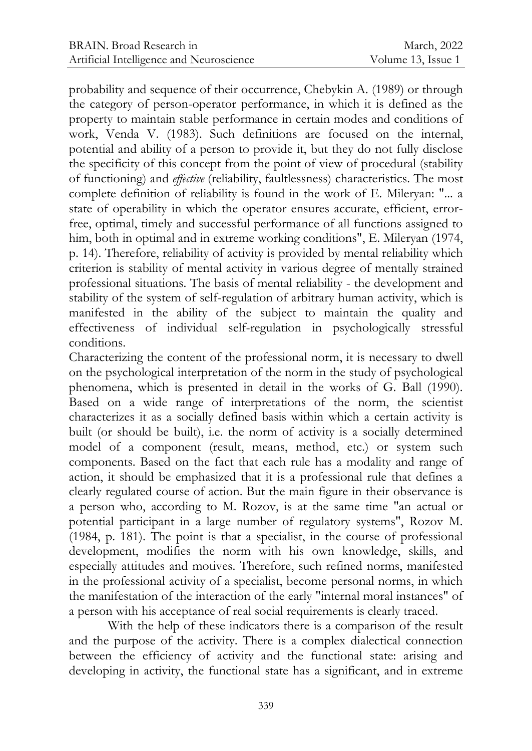probability and sequence of their occurrence, Chebykin A. (1989) or through the category of person-operator performance, in which it is defined as the property to maintain stable performance in certain modes and conditions of work, Venda V. (1983). Such definitions are focused on the internal, potential and ability of a person to provide it, but they do not fully disclose the specificity of this concept from the point of view of procedural (stability of functioning) and *effective* (reliability, faultlessness) characteristics. The most complete definition of reliability is found in the work of E. Mileryan: "... a state of operability in which the operator ensures accurate, efficient, errorfree, optimal, timely and successful performance of all functions assigned to him, both in optimal and in extreme working conditions", E. Mileryan (1974, p. 14). Therefore, reliability of activity is provided by mental reliability which criterion is stability of mental activity in various degree of mentally strained professional situations. The basis of mental reliability - the development and stability of the system of self-regulation of arbitrary human activity, which is manifested in the ability of the subject to maintain the quality and effectiveness of individual self-regulation in psychologically stressful conditions.

Characterizing the content of the professional norm, it is necessary to dwell on the psychological interpretation of the norm in the study of psychological phenomena, which is presented in detail in the works of G. Ball (1990). Based on a wide range of interpretations of the norm, the scientist characterizes it as a socially defined basis within which a certain activity is built (or should be built), i.e. the norm of activity is a socially determined model of a component (result, means, method, etc.) or system such components. Based on the fact that each rule has a modality and range of action, it should be emphasized that it is a professional rule that defines a clearly regulated course of action. But the main figure in their observance is a person who, according to M. Rozov, is at the same time "an actual or potential participant in a large number of regulatory systems", Rozov M. (1984, p. 181). The point is that a specialist, in the course of professional development, modifies the norm with his own knowledge, skills, and especially attitudes and motives. Therefore, such refined norms, manifested in the professional activity of a specialist, become personal norms, in which the manifestation of the interaction of the early "internal moral instances" of a person with his acceptance of real social requirements is clearly traced.

With the help of these indicators there is a comparison of the result and the purpose of the activity. There is a complex dialectical connection between the efficiency of activity and the functional state: arising and developing in activity, the functional state has a significant, and in extreme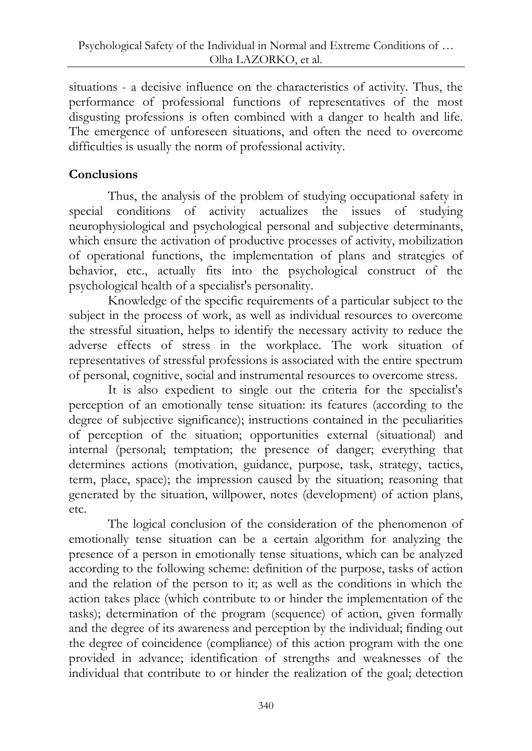situations - a decisive influence on the characteristics of activity. Thus, the performance of professional functions of representatives of the most disgusting professions is often combined with a danger to health and life. The emergence of unforeseen situations, and often the need to overcome difficulties is usually the norm of professional activity.

# **Conclusions**

Thus, the analysis of the problem of studying occupational safety in special conditions of activity actualizes the issues of studying neurophysiological and psychological personal and subjective determinants, which ensure the activation of productive processes of activity, mobilization of operational functions, the implementation of plans and strategies of behavior, etc., actually fits into the psychological construct of the psychological health of a specialist's personality.

Knowledge of the specific requirements of a particular subject to the subject in the process of work, as well as individual resources to overcome the stressful situation, helps to identify the necessary activity to reduce the adverse effects of stress in the workplace. The work situation of representatives of stressful professions is associated with the entire spectrum of personal, cognitive, social and instrumental resources to overcome stress.

It is also expedient to single out the criteria for the specialist's perception of an emotionally tense situation: its features (according to the degree of subjective significance); instructions contained in the peculiarities of perception of the situation; opportunities external (situational) and internal (personal; temptation; the presence of danger; everything that determines actions (motivation, guidance, purpose, task, strategy, tactics, term, place, space); the impression caused by the situation; reasoning that generated by the situation, willpower, notes (development) of action plans, etc.

The logical conclusion of the consideration of the phenomenon of emotionally tense situation can be a certain algorithm for analyzing the presence of a person in emotionally tense situations, which can be analyzed according to the following scheme: definition of the purpose, tasks of action and the relation of the person to it; as well as the conditions in which the action takes place (which contribute to or hinder the implementation of the tasks); determination of the program (sequence) of action, given formally and the degree of its awareness and perception by the individual; finding out the degree of coincidence (compliance) of this action program with the one provided in advance; identification of strengths and weaknesses of the individual that contribute to or hinder the realization of the goal; detection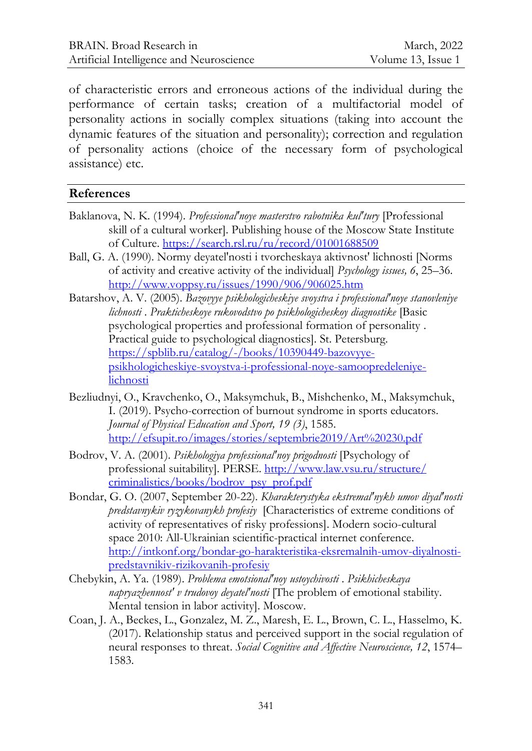of characteristic errors and erroneous actions of the individual during the performance of certain tasks; creation of a multifactorial model of personality actions in socially complex situations (taking into account the dynamic features of the situation and personality); correction and regulation of personality actions (choice of the necessary form of psychological assistance) etc.

#### **References**

- Baklanova, N. K. (1994). *Professional'noye masterstvo rabotnika kul'tury* [Professional skill of a cultural worker]. Publishing house of the Moscow State Institute of Culture. <https://search.rsl.ru/ru/record/01001688509>
- Ball, G. A. (1990). Normy deyatel'nosti i tvorcheskaya aktivnost' lichnosti [Norms of activity and creative activity of the individual] *Psychology issues, 6*, 25–36. <http://www.voppsy.ru/issues/1990/906/906025.htm>
- Batarshov, A. V. (2005). *Bazovyye psikhologicheskiye svoystva i professional'noye stanovleniye lichnosti* . *Prakticheskoye rukovodstvo po psikhologicheskoy diagnostike* [Basic psychological properties and professional formation of personality . Practical guide to psychological diagnostics]. St. Petersburg. [https://spblib.ru/catalog/-/books/10390449-bazovyye](https://spblib.ru/catalog/-/books/10390449-bazovyye-psikhologicheskiye-svoystva-i-professional-noye-samoopredeleniye-lichnosti)[psikhologicheskiye-svoystva-i-professional-noye-samoopredeleniye](https://spblib.ru/catalog/-/books/10390449-bazovyye-psikhologicheskiye-svoystva-i-professional-noye-samoopredeleniye-lichnosti)[lichnosti](https://spblib.ru/catalog/-/books/10390449-bazovyye-psikhologicheskiye-svoystva-i-professional-noye-samoopredeleniye-lichnosti)
- Bezliudnyi, O., Kravchenko, O., Maksymchuk, B., Mishchenko, M., Maksymchuk, I. (2019). Psycho-correction of burnout syndrome in sports educators. *Journal of Physical Education and Sport, 19 (3)*, 1585. <http://efsupit.ro/images/stories/septembrie2019/Art%20230.pdf>
- Bodrov, V. A. (2001). *Psikhologiya professional'noy prigodnosti* [Psychology of professional suitability]. PERSE. [http://www.law.vsu.ru/structure/](http://www.law.vsu.ru/structure/%0bcriminalistics/books/bodrov_psy_prof.pdf) [criminalistics/books/bodrov\\_psy\\_prof.pdf](http://www.law.vsu.ru/structure/%0bcriminalistics/books/bodrov_psy_prof.pdf)
- Bondar, G. O. (2007, September 20-22). *Kharakterystyka ekstremalʹnykh umov diyalʹnosti predstavnykiv ryzykovanykh profesiy* [Characteristics of extreme conditions of activity of representatives of risky professions]. Modern socio-cultural space 2010: All-Ukrainian scientific-practical internet conference. [http://intkonf.org/bondar-go-harakteristika-eksremalnih-umov-diyalnosti](http://intkonf.org/bondar-go-harakteristika-eksremalnih-umov-diyalnosti-predstavnikiv-rizikovanih-profesiy)[predstavnikiv-rizikovanih-profesiy](http://intkonf.org/bondar-go-harakteristika-eksremalnih-umov-diyalnosti-predstavnikiv-rizikovanih-profesiy)
- Chebykin, A. Ya. (1989). *Problema emotsional'noy ustoychivosti* . *Psikhicheskaya napryazhennost' v trudovoy deyatel'nosti* [The problem of emotional stability. Mental tension in labor activity]. Moscow.
- Coan, J. A., Beckes, L., Gonzalez, M. Z., Maresh, E. L., Brown, C. L., Hasselmo, K. (2017). Relationship status and perceived support in the social regulation of neural responses to threat. *Social Cognitive and Affective Neuroscience, 12*, 1574– 1583.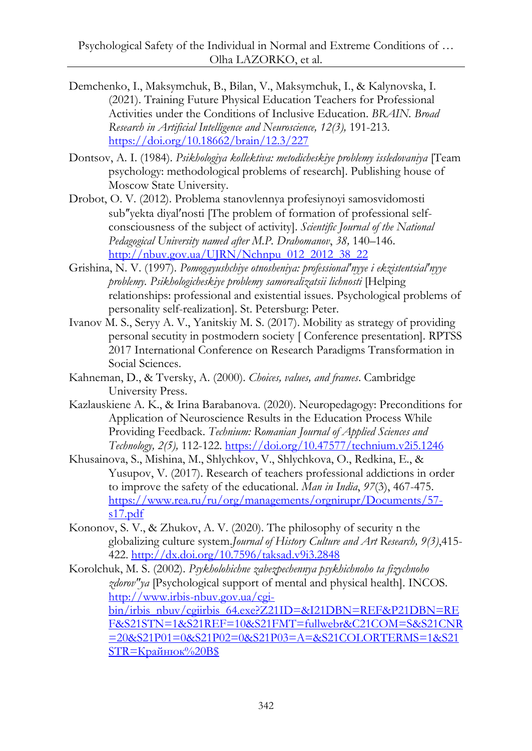- Demchenko, I., Maksymchuk, B., Bilan, V., Maksymchuk, I., & Kalynovska, I. (2021). Training Future Physical Education Teachers for Professional Activities under the Conditions of Inclusive Education. *BRAIN. Broad Research in Artificial Intelligence and Neuroscience, 12(3),* 191-213. <https://doi.org/10.18662/brain/12.3/227>
- Dontsov, A. I. (1984). *Psikhologiya kollektiva: metodicheskiye problemy issledovaniya* [Team psychology: methodological problems of research]. Publishing house of Moscow State University.
- Drobot, O. V. (2012). Problema stanovlennya profesiynoyi samosvidomosti sub"yekta diyal'nosti [The problem of formation of professional selfconsciousness of the subject of activity]. *Scientific Journal of the National Pedagogical University named after M.P. Drahomanov*, *38,* 140–146. [http://nbuv.gov.ua/UJRN/Nchnpu\\_012\\_2012\\_38\\_22](http://nbuv.gov.ua/UJRN/Nchnpu_012_2012_38_22)
- Grishina, N. V. (1997). *Pomogayushchiye otnosheniya: professional'nyye i ekzistentsial'nyye problemy. Psikhologicheskiye problemy samorealizatsii lichnosti* [Helping relationships: professional and existential issues. Psychological problems of personality self-realization]. St. Petersburg: Peter.
- Ivanov M. S., Seryy A. V., Yanitskiy M. S. (2017). Mobility as strategy of providing personal secutity in postmodern society [ Conference presentation]. RPTSS 2017 International Conference on Research Paradigms Transformation in Social Sciences.
- Kahneman, D., & Tversky, A. (2000). *Choices, values, and frames*. Cambridge University Press.
- Kazlauskiene A. K., & Irina Barabanova. (2020). Neuropedagogy: Preconditions for Application of Neuroscience Results in the Education Process While Providing Feedback. *Technium: Romanian Journal of Applied Sciences and Technology, 2(5),* 112-122.<https://doi.org/10.47577/technium.v2i5.1246>
- Khusainova, S., Mishina, M., Shlychkov, V., Shlychkova, O., Redkina, E., & Yusupov, V. (2017). Research of teachers professional addictions in order to improve the safety of the educational. *Man in India*, *97*(3), 467-475. [https://www.rea.ru/ru/org/managements/orgnirupr/Documents/57](https://www.rea.ru/ru/org/managements/orgnirupr/Documents/57-s17.pdf) [s17.pdf](https://www.rea.ru/ru/org/managements/orgnirupr/Documents/57-s17.pdf)
- Kononov, S. V., & Zhukov, A. V. (2020). The philosophy of security n the globalizing culture system.*Journal of History Culture and Art Research, 9(3)*,415- 422. <http://dx.doi.org/10.7596/taksad.v9i3.2848>
- Korolchuk, M. S. (2002). *Psykholohichne zabezpechennya psykhichnoho ta fizychnoho zdorovʺya* [Psychological support of mental and physical health]. INCOS. [http://www.irbis-nbuv.gov.ua/cgi](http://www.irbis-nbuv.gov.ua/cgi-bin/irbis_nbuv/cgiirbis_64.exe?Z21ID=&I21DBN=REF&P21DBN=REF&S21STN=1&S21REF=10&S21FMT=fullwebr&C21COM=S&S21CNR=20&S21P01=0&S21P02=0&S21P03=A=&S21COLORTERMS=1&S21STR=Крайнюк%20В$)[bin/irbis\\_nbuv/cgiirbis\\_64.exe?Z21ID=&I21DBN=REF&P21DBN=RE](http://www.irbis-nbuv.gov.ua/cgi-bin/irbis_nbuv/cgiirbis_64.exe?Z21ID=&I21DBN=REF&P21DBN=REF&S21STN=1&S21REF=10&S21FMT=fullwebr&C21COM=S&S21CNR=20&S21P01=0&S21P02=0&S21P03=A=&S21COLORTERMS=1&S21STR=Крайнюк%20В$) [F&S21STN=1&S21REF=10&S21FMT=fullwebr&C21COM=S&S21CNR](http://www.irbis-nbuv.gov.ua/cgi-bin/irbis_nbuv/cgiirbis_64.exe?Z21ID=&I21DBN=REF&P21DBN=REF&S21STN=1&S21REF=10&S21FMT=fullwebr&C21COM=S&S21CNR=20&S21P01=0&S21P02=0&S21P03=A=&S21COLORTERMS=1&S21STR=Крайнюк%20В$) [=20&S21P01=0&S21P02=0&S21P03=A=&S21COLORTERMS=1&S21](http://www.irbis-nbuv.gov.ua/cgi-bin/irbis_nbuv/cgiirbis_64.exe?Z21ID=&I21DBN=REF&P21DBN=REF&S21STN=1&S21REF=10&S21FMT=fullwebr&C21COM=S&S21CNR=20&S21P01=0&S21P02=0&S21P03=A=&S21COLORTERMS=1&S21STR=Крайнюк%20В$)  $STR=Kp$ айнюк%20В\$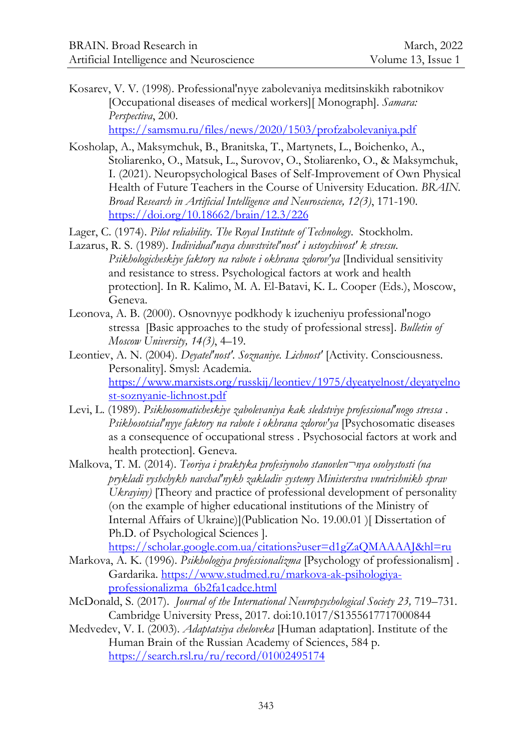Kosarev, V. V. (1998). Professional'nyye zabolevaniya meditsinskikh rabotnikov [Occupational diseases of medical workers][ Monograph]. *Samara: Perspectiva*, 200.

<https://samsmu.ru/files/news/2020/1503/profzabolevaniya.pdf>

Kosholap, A., Maksymchuk, B., Branitska, T., Martynets, L., Boichenko, A., Stoliarenko, O., Matsuk, L., Surovov, O., Stoliarenko, O., & Maksymchuk, I. (2021). Neuropsychological Bases of Self-Improvement of Own Physical Health of Future Teachers in the Course of University Education. *BRAIN. Broad Research in Artificial Intelligence and Neuroscience, 12(3)*, 171-190. <https://doi.org/10.18662/brain/12.3/226>

Lager, C. (1974). *Pilot reliability. The Royal Institute of Technology*. Stockholm.

- Lazarus, R. S. (1989). *Individual'naya chuvstvitel'nost' i ustoychivost' k stressu. Psikhologicheskiye faktory na rabote i okhrana zdorov'ya* [Individual sensitivity and resistance to stress. Psychological factors at work and health protection]. In R. Kalimo, M. A. El-Batavi, K. L. Cooper (Eds.), Moscow, Geneva.
- Leonova, A. B. (2000). Osnovnyye podkhody k izucheniyu professional'nogo stressa [Basic approaches to the study of professional stress]. *Bulletin of Moscow University, 14(3)*, 4–19.
- Leontiev, A. N. (2004). *Deyatel'nost'. Soznaniye. Lichnost'* [Activity. Consciousness. Personality]. Smysl: Academia. [https://www.marxists.org/russkij/leontiev/1975/dyeatyelnost/deyatyelno](https://www.marxists.org/russkij/leontiev/1975/dyeatyelnost/deyatyelnost-soznyanie-lichnost.pdf) [st-soznyanie-lichnost.pdf](https://www.marxists.org/russkij/leontiev/1975/dyeatyelnost/deyatyelnost-soznyanie-lichnost.pdf)
- Levi, L. (1989). *Psikhosomaticheskiye zabolevaniya kak sledstviye professional'nogo stressa* . *Psikhosotsial'nyye faktory na rabote i okhrana zdorov'ya* [Psychosomatic diseases as a consequence of occupational stress . Psychosocial factors at work and health protection]. Geneva.
- Malkova, T. M. (2014). *Teoriya i praktyka profesiynoho stanovlen¬nya osobystosti (na prykladi vyshchykh navchalʹnykh zakladiv systemy Ministerstva vnutrishnikh sprav Ukrayiny*) [Theory and practice of professional development of personality (on the example of higher educational institutions of the Ministry of Internal Affairs of Ukraine)](Publication No. 19.00.01 )[ Dissertation of Ph.D. of Psychological Sciences ].

<https://scholar.google.com.ua/citations?user=d1gZaQMAAAAJ&hl=ru>

- Markova, A. K. (1996). *Psikhologiya professionalizma* [Psychology of professionalism] . Gardarika. [https://www.studmed.ru/markova-ak-psihologiya](https://www.studmed.ru/markova-ak-psihologiya-professionalizma_6b2fa1cadce.html)[professionalizma\\_6b2fa1cadce.html](https://www.studmed.ru/markova-ak-psihologiya-professionalizma_6b2fa1cadce.html)
- McDonald, S. (2017). *Journal of the International Neuropsychological Society 23,* 719–731. Cambridge University Press, 2017. doi:10.1017/S1355617717000844
- Medvedev, V. I. (2003). *Adaptatsiya cheloveka* [Human adaptation]. Institute of the Human Brain of the Russian Academy of Sciences, 584 p. <https://search.rsl.ru/ru/record/01002495174>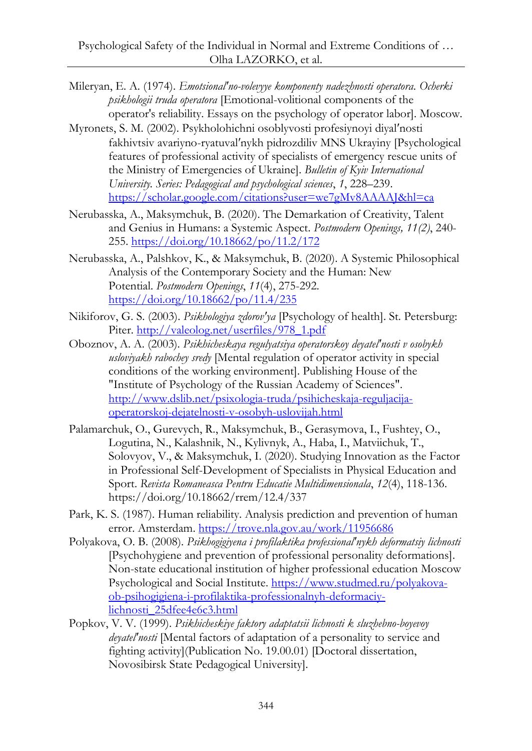- Mileryan, E. A. (1974). *Emotsional'no-volevyye komponenty nadezhnosti operatora. Ocherki psikhologii truda operatora* [Emotional-volitional components of the operator's reliability. Essays on the psychology of operator labor]. Moscow.
- Myronets, S. M. (2002). Psykholohichni osoblyvosti profesiynoyi diyalʹnosti fakhivtsiv avariyno-ryatuvalʹnykh pidrozdiliv MNS Ukrayiny [Psychological features of professional activity of specialists of emergency rescue units of the Ministry of Emergencies of Ukraine]. *Bulletin of Kyiv International University. Series: Pedagogical and psychological sciences*, *1*, 228–239. <https://scholar.google.com/citations?user=we7gMv8AAAAJ&hl=ca>
- Nerubasska, A., Maksymchuk, B. (2020). The Demarkation of Creativity, Talent and Genius in Humans: a Systemic Aspect. *Postmodern Openings, 11(2)*, 240- 255. <https://doi.org/10.18662/po/11.2/172>
- Nerubasska, A., Palshkov, K., & Maksymchuk, B. (2020). A Systemic Philosophical Analysis of the Contemporary Society and the Human: New Potential. *Postmodern Openings*, *11*(4), 275-292. <https://doi.org/10.18662/po/11.4/235>
- Nikiforov, G. S. (2003). *Psikhologiya zdorov'ya* [Psychology of health]. St. Petersburg: Piter. [http://valeolog.net/userfiles/978\\_1.pdf](http://valeolog.net/userfiles/978_1.pdf)
- Oboznov, A. A. (2003). *Psikhicheskaya regulyatsiya operatorskoy deyatel'nosti v osobykh usloviyakh rabochey sredy* [Mental regulation of operator activity in special conditions of the working environment]. Publishing House of the "Institute of Psychology of the Russian Academy of Sciences". [http://www.dslib.net/psixologia-truda/psihicheskaja-reguljacija](http://www.dslib.net/psixologia-truda/psihicheskaja-reguljacija-operatorskoj-dejatelnosti-v-osobyh-uslovijah.html)[operatorskoj-dejatelnosti-v-osobyh-uslovijah.html](http://www.dslib.net/psixologia-truda/psihicheskaja-reguljacija-operatorskoj-dejatelnosti-v-osobyh-uslovijah.html)
- Palamarchuk, O., Gurevych, R., Maksymchuk, B., Gerasymova, I., Fushtey, O., Logutina, N., Kalashnik, N., Kylivnyk, A., Haba, I., Matviichuk, T., Solovyov, V., & Maksymchuk, I. (2020). Studying Innovation as the Factor in Professional Self-Development of Specialists in Physical Education and Sport. *Revista Romaneasca Pentru Educatie Multidimensionala*, *12*(4), 118-136. https://doi.org/10.18662/rrem/12.4/337
- Park, K. S. (1987). Human reliability. Analysis prediction and prevention of human error. Amsterdam. <https://trove.nla.gov.au/work/11956686>
- Polyakova, O. B. (2008). *Psikhogigiyena i profilaktika professional'nykh deformatsiy lichnosti*  [Psychohygiene and prevention of professional personality deformations]. Non-state educational institution of higher professional education Moscow Psychological and Social Institute. [https://www.studmed.ru/polyakova](https://www.studmed.ru/polyakova-ob-psihogigiena-i-profilaktika-professionalnyh-deformaciy-lichnosti_25dfee4e6c3.html)[ob-psihogigiena-i-profilaktika-professionalnyh-deformaciy](https://www.studmed.ru/polyakova-ob-psihogigiena-i-profilaktika-professionalnyh-deformaciy-lichnosti_25dfee4e6c3.html)[lichnosti\\_25dfee4e6c3.html](https://www.studmed.ru/polyakova-ob-psihogigiena-i-profilaktika-professionalnyh-deformaciy-lichnosti_25dfee4e6c3.html)
- Popkov, V. V. (1999). *Psikhicheskiye faktory adaptatsii lichnosti k sluzhebno-boyevoy deyatel'nosti* [Mental factors of adaptation of a personality to service and fighting activity](Publication No. 19.00.01) [Doctoral dissertation, Novosibirsk State Pedagogical University].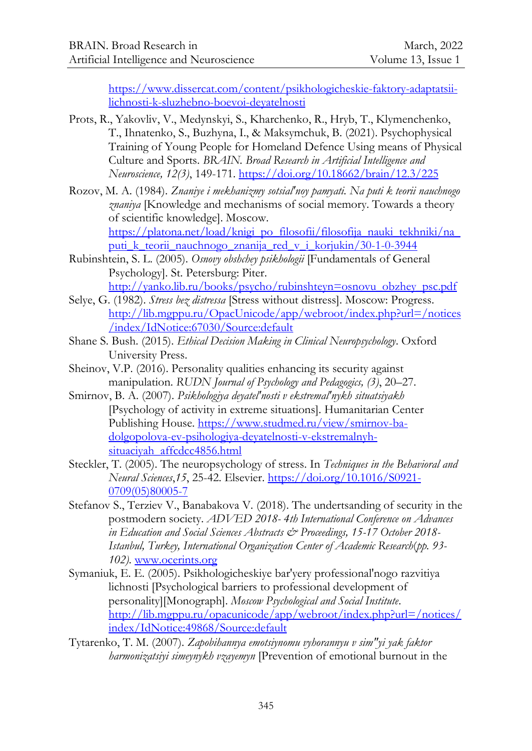[https://www.dissercat.com/content/psikhologicheskie-faktory-adaptatsii](https://www.dissercat.com/content/psikhologicheskie-faktory-adaptatsii-lichnosti-k-sluzhebno-boevoi-deyatelnosti)[lichnosti-k-sluzhebno-boevoi-deyatelnosti](https://www.dissercat.com/content/psikhologicheskie-faktory-adaptatsii-lichnosti-k-sluzhebno-boevoi-deyatelnosti)

- Prots, R., Yakovliv, V., Medynskyi, S., Kharchenko, R., Hryb, T., Klymenchenko, T., Ihnatenko, S., Buzhyna, I., & Maksymchuk, B. (2021). Psychophysical Training of Young People for Homeland Defence Using means of Physical Culture and Sports. *BRAIN. Broad Research in Artificial Intelligence and Neuroscience, 12(3)*, 149-171.<https://doi.org/10.18662/brain/12.3/225>
- Rozov, M. A. (1984). *Znaniye i mekhanizmy sotsial'noy pamyati. Na puti k teorii nauchnogo znaniya* [Knowledge and mechanisms of social memory. Towards a theory of scientific knowledge]. Moscow.

https://platona.net/load/knigi\_po\_filosofii/filosofija\_nauki\_tekhniki/na puti k teorii nauchnogo znanija red v i korjukin/30-1-0-3944

- Rubinshtein, S. L. (2005). *Osnovy obshchey psikhologii* [Fundamentals of General Psychology]. St. Petersburg: Piter.
- [http://yanko.lib.ru/books/psycho/rubinshteyn=osnovu\\_obzhey\\_psc.pdf](http://yanko.lib.ru/books/psycho/rubinshteyn=osnovu_obzhey_psc.pdf) Selye, G. (1982). *Stress bez distressa* [Stress without distress]. Moscow: Progress. [http://lib.mgppu.ru/OpacUnicode/app/webroot/index.php?url=/notices](http://lib.mgppu.ru/OpacUnicode/app/webroot/index.php?url=/notices/index/IdNotice:67030/Source:default) [/index/IdNotice:67030/Source:default](http://lib.mgppu.ru/OpacUnicode/app/webroot/index.php?url=/notices/index/IdNotice:67030/Source:default)
- [Shane S. Bush.](https://www.google.gm/search?hl=ru&tbo=p&tbm=bks&q=inauthor:%22Shane+S.+Bush%22) (2015). *Ethical Decision Making in Clinical Neuropsychology*. Oxford University Press.
- Sheinov, V.P. (2016). Personality qualities enhancing its security against manipulation. *RUDN Journal of Psychology and Pedagogics, (3)*, 20–27.
- Smirnov, B. A. (2007). *Psikhologiya deyatel'nosti v ekstremal'nykh situatsiyakh*  [Psychology of activity in extreme situations]. Humanitarian Center Publishing House. [https://www.studmed.ru/view/smirnov-ba](https://www.studmed.ru/view/smirnov-ba-dolgopolova-ev-psihologiya-deyatelnosti-v-ekstremalnyh-situaciyah_affcdcc4856.html)[dolgopolova-ev-psihologiya-deyatelnosti-v-ekstremalnyh](https://www.studmed.ru/view/smirnov-ba-dolgopolova-ev-psihologiya-deyatelnosti-v-ekstremalnyh-situaciyah_affcdcc4856.html)[situaciyah\\_affcdcc4856.html](https://www.studmed.ru/view/smirnov-ba-dolgopolova-ev-psihologiya-deyatelnosti-v-ekstremalnyh-situaciyah_affcdcc4856.html)
- Steckler, T. (2005). The neuropsychology of stress. In *Techniques in the Behavioral and Neural Sciences*,*15*, 25-42. Elsevier. [https://doi.org/10.1016/S0921-](https://doi.org/10.1016/S0921-0709(05)80005-7) [0709\(05\)80005-7](https://doi.org/10.1016/S0921-0709(05)80005-7)
- Stefanov S., Terziev V., Banabakova V. (2018). The undertsanding of security in the postmodern society. *ADVED 2018- 4th International Conference on Advances in Education and Social Sciences Abstracts & Proceedings, 15-17 October 2018- Istanbul, Turkey, International Organization Center of Academic Research*(*pp. 93- 102).* [www.ocerints.org](http://www.ocerints.org/)
- Symaniuk, E. E. (2005). Psikhologicheskiye bar'yery professional'nogo razvitiya lichnosti [Psychological barriers to professional development of personality][Monograph]. *Moscow Psychological and Social Institute*. [http://lib.mgppu.ru/opacunicode/app/webroot/index.php?url=/notices/](http://lib.mgppu.ru/opacunicode/app/webroot/index.php?url=/notices/index/IdNotice:49868/Source:default) [index/IdNotice:49868/Source:default](http://lib.mgppu.ru/opacunicode/app/webroot/index.php?url=/notices/index/IdNotice:49868/Source:default)
- Tytarenko, T. M. (2007). *Zapobihannya emotsiynomu vyhorannyu v simʺyi yak faktor harmonizatsiyi simeynykh vzayemyn* [Prevention of emotional burnout in the